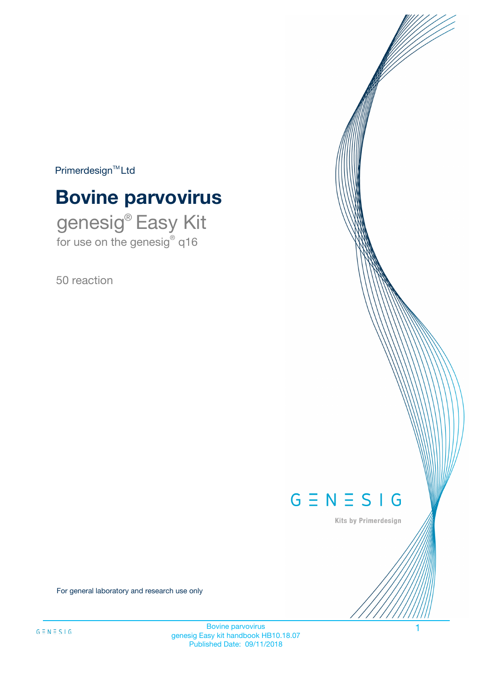$Primerdesign^{\text{TM}}Ltd$ 

# **Bovine parvovirus**

genesig® Easy Kit for use on the genesig® q16

50 reaction



Kits by Primerdesign

For general laboratory and research use only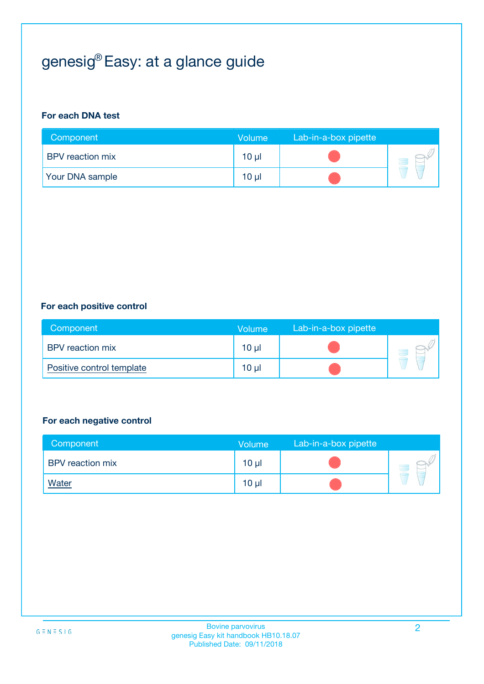# genesig® Easy: at a glance guide

#### **For each DNA test**

| Component              | <b>Volume</b> | Lab-in-a-box pipette |  |
|------------------------|---------------|----------------------|--|
| BPV reaction mix       | $10 \mu$      |                      |  |
| <b>Your DNA sample</b> | $10 \mu$      |                      |  |

#### **For each positive control**

| Component                 | <b>Volume</b>   | Lab-in-a-box pipette |  |
|---------------------------|-----------------|----------------------|--|
| <b>BPV</b> reaction mix   | 10 <sub>µ</sub> |                      |  |
| Positive control template | $10 \mu$        |                      |  |

#### **For each negative control**

| Component        | <b>Volume</b>   | Lab-in-a-box pipette |  |
|------------------|-----------------|----------------------|--|
| BPV reaction mix | 10 <sub>µ</sub> |                      |  |
| <u>Water</u>     | 10 <sub>µ</sub> |                      |  |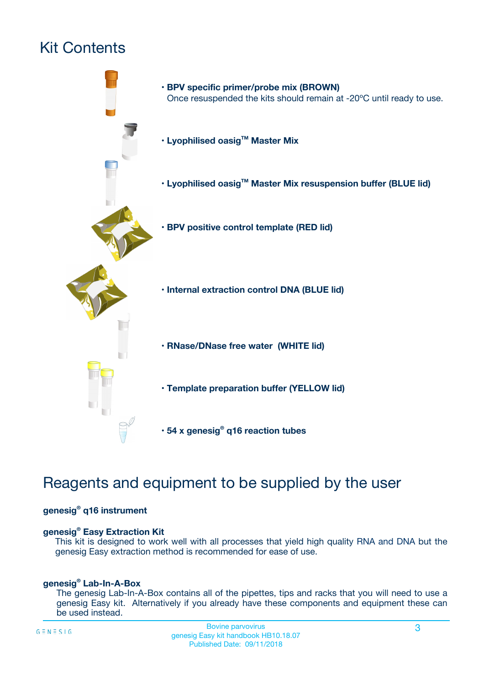# Kit Contents



## Reagents and equipment to be supplied by the user

#### **genesig® q16 instrument**

#### **genesig® Easy Extraction Kit**

This kit is designed to work well with all processes that yield high quality RNA and DNA but the genesig Easy extraction method is recommended for ease of use.

#### **genesig® Lab-In-A-Box**

The genesig Lab-In-A-Box contains all of the pipettes, tips and racks that you will need to use a genesig Easy kit. Alternatively if you already have these components and equipment these can be used instead.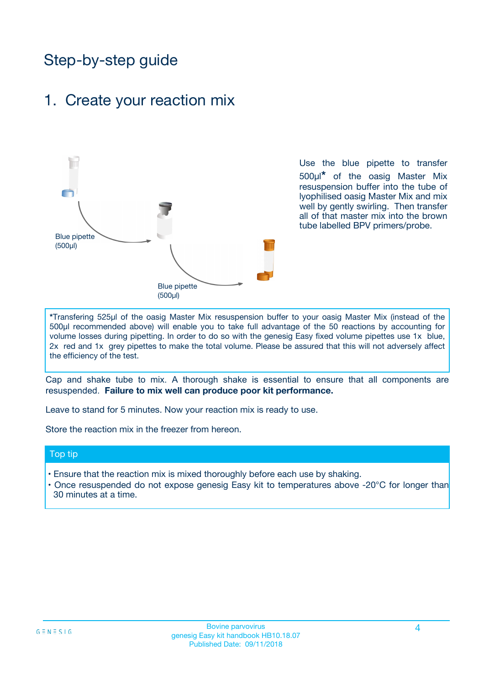## Step-by-step guide

### 1. Create your reaction mix



Use the blue pipette to transfer 500µl**\*** of the oasig Master Mix resuspension buffer into the tube of lyophilised oasig Master Mix and mix well by gently swirling. Then transfer all of that master mix into the brown tube labelled BPV primers/probe.

**\***Transfering 525µl of the oasig Master Mix resuspension buffer to your oasig Master Mix (instead of the 500µl recommended above) will enable you to take full advantage of the 50 reactions by accounting for volume losses during pipetting. In order to do so with the genesig Easy fixed volume pipettes use 1x blue, 2x red and 1x grey pipettes to make the total volume. Please be assured that this will not adversely affect the efficiency of the test.

Cap and shake tube to mix. A thorough shake is essential to ensure that all components are resuspended. **Failure to mix well can produce poor kit performance.**

Leave to stand for 5 minutes. Now your reaction mix is ready to use.

Store the reaction mix in the freezer from hereon.

#### Top tip

- Ensure that the reaction mix is mixed thoroughly before each use by shaking.
- **•** Once resuspended do not expose genesig Easy kit to temperatures above -20°C for longer than 30 minutes at a time.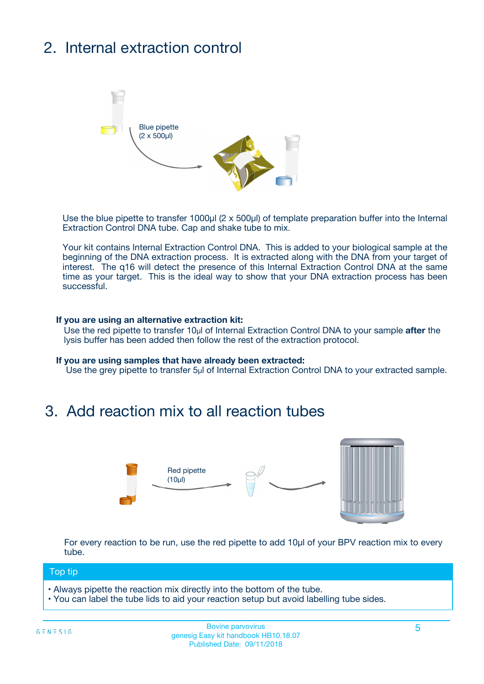# 2. Internal extraction control



Use the blue pipette to transfer 1000µl (2 x 500µl) of template preparation buffer into the Internal Extraction Control DNA tube. Cap and shake tube to mix.

Your kit contains Internal Extraction Control DNA. This is added to your biological sample at the beginning of the DNA extraction process. It is extracted along with the DNA from your target of interest. The q16 will detect the presence of this Internal Extraction Control DNA at the same time as your target. This is the ideal way to show that your DNA extraction process has been **successful.** 

#### **If you are using an alternative extraction kit:**

Use the red pipette to transfer 10µl of Internal Extraction Control DNA to your sample **after** the lysis buffer has been added then follow the rest of the extraction protocol.

#### **If you are using samples that have already been extracted:**

Use the grey pipette to transfer 5µl of Internal Extraction Control DNA to your extracted sample.

### 3. Add reaction mix to all reaction tubes



For every reaction to be run, use the red pipette to add 10µl of your BPV reaction mix to every tube.

#### Top tip

- Always pipette the reaction mix directly into the bottom of the tube.
- You can label the tube lids to aid your reaction setup but avoid labelling tube sides.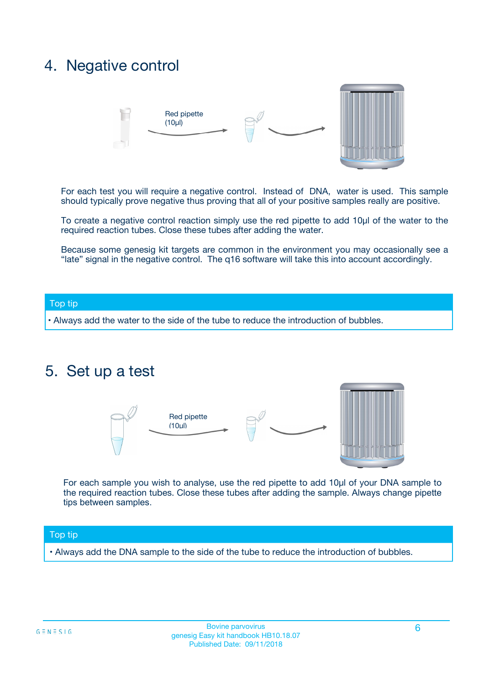### 4. Negative control



For each test you will require a negative control. Instead of DNA, water is used. This sample should typically prove negative thus proving that all of your positive samples really are positive.

To create a negative control reaction simply use the red pipette to add 10µl of the water to the required reaction tubes. Close these tubes after adding the water.

Because some genesig kit targets are common in the environment you may occasionally see a "late" signal in the negative control. The q16 software will take this into account accordingly.

#### Top tip

**•** Always add the water to the side of the tube to reduce the introduction of bubbles.

### 5. Set up a test



For each sample you wish to analyse, use the red pipette to add 10µl of your DNA sample to the required reaction tubes. Close these tubes after adding the sample. Always change pipette tips between samples.

#### Top tip

**•** Always add the DNA sample to the side of the tube to reduce the introduction of bubbles.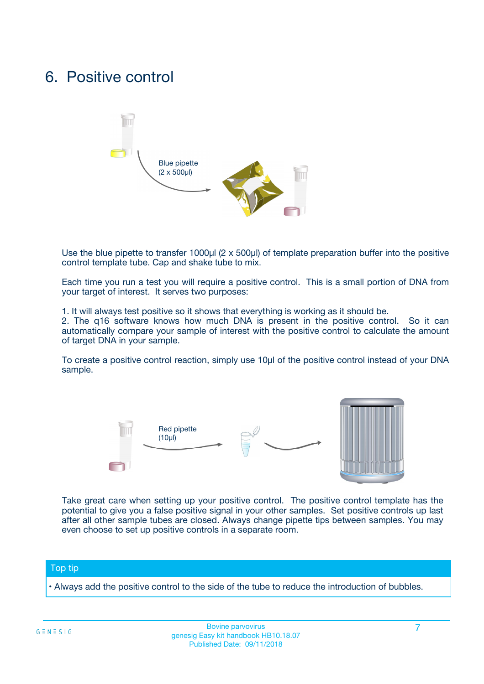### 6. Positive control



Use the blue pipette to transfer 1000µl (2 x 500µl) of template preparation buffer into the positive control template tube. Cap and shake tube to mix.

Each time you run a test you will require a positive control. This is a small portion of DNA from your target of interest. It serves two purposes:

1. It will always test positive so it shows that everything is working as it should be.

2. The q16 software knows how much DNA is present in the positive control. So it can automatically compare your sample of interest with the positive control to calculate the amount of target DNA in your sample.

To create a positive control reaction, simply use 10µl of the positive control instead of your DNA sample.



Take great care when setting up your positive control. The positive control template has the potential to give you a false positive signal in your other samples. Set positive controls up last after all other sample tubes are closed. Always change pipette tips between samples. You may even choose to set up positive controls in a separate room.

#### Top tip

**•** Always add the positive control to the side of the tube to reduce the introduction of bubbles.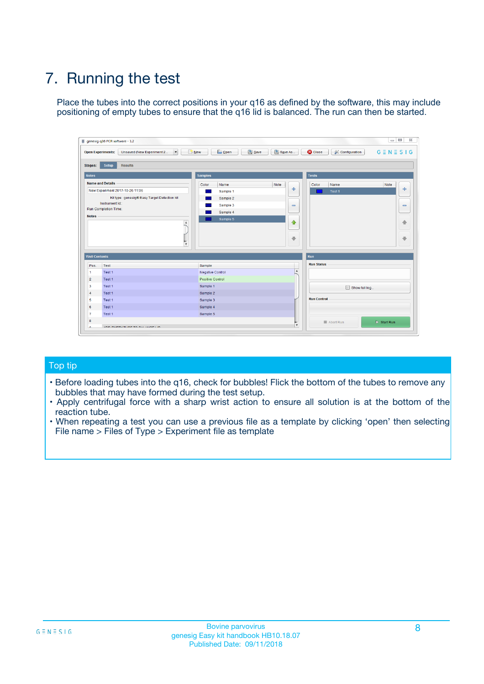# 7. Running the test

Place the tubes into the correct positions in your q16 as defined by the software, this may include positioning of empty tubes to ensure that the q16 lid is balanced. The run can then be started.

| qenesig q16 PCR software - 1.2                                               |                                   | $\Box$                                                                                          |
|------------------------------------------------------------------------------|-----------------------------------|-------------------------------------------------------------------------------------------------|
| $\vert \cdot \vert$<br>Unsaved (New Experiment 2<br><b>Open Experiments:</b> | <b>D</b> Open<br>R <sub>New</sub> | Save<br>Save As<br><b>C</b> Close<br><b>&amp; Configuration</b><br>$G \equiv N \equiv S \mid G$ |
| <b>Setup</b><br><b>Results</b><br>Stages:                                    |                                   |                                                                                                 |
| <b>Notes</b>                                                                 | <b>Samples</b>                    | <b>Tests</b>                                                                                    |
| <b>Name and Details</b>                                                      | Name<br>Color                     | Note<br>Color<br>Note<br>Name                                                                   |
| New Experiment 2017-10-26 11:06                                              | Sample 1                          | ÷<br>条<br>Test 1                                                                                |
| Kit type: genesig® Easy Target Detection kit                                 | Sample 2                          |                                                                                                 |
| Instrument Id.:                                                              | Sample 3                          | $\qquad \qquad \blacksquare$<br>$\qquad \qquad \blacksquare$                                    |
| <b>Run Completion Time:</b>                                                  | Sample 4                          |                                                                                                 |
| <b>Notes</b><br><b>A</b><br>$\overline{\mathbf v}$                           | Sample 5                          | ♦<br>4<br>÷<br>₩                                                                                |
| <b>Well Contents</b>                                                         |                                   | <b>Run</b>                                                                                      |
| Pos.<br>Test                                                                 | Sample                            | <b>Run Status</b>                                                                               |
| Test 1<br>$\blacktriangleleft$                                               | Negative Control                  | $\blacktriangle$                                                                                |
| $\overline{2}$<br>Test 1                                                     | <b>Positive Control</b>           |                                                                                                 |
| $\overline{\mathbf{3}}$<br>Test 1                                            | Sample 1                          | Show full log                                                                                   |
| Test 1<br>4                                                                  | Sample 2                          |                                                                                                 |
| 5<br>Test 1                                                                  | Sample 3                          | <b>Run Control</b>                                                                              |
| Test 1<br>6                                                                  | Sample 4                          |                                                                                                 |
| $\overline{7}$<br>Test 1                                                     | Sample 5                          |                                                                                                 |
| 8                                                                            |                                   | $\triangleright$ Start Run<br>Abort Run                                                         |
| <b>JOD FURTY TUDE TO BUILDED IN</b>                                          |                                   | $\overline{\mathbf{v}}$                                                                         |

#### Top tip

- Before loading tubes into the q16, check for bubbles! Flick the bottom of the tubes to remove any bubbles that may have formed during the test setup.
- Apply centrifugal force with a sharp wrist action to ensure all solution is at the bottom of the reaction tube.
- When repeating a test you can use a previous file as a template by clicking 'open' then selecting File name > Files of Type > Experiment file as template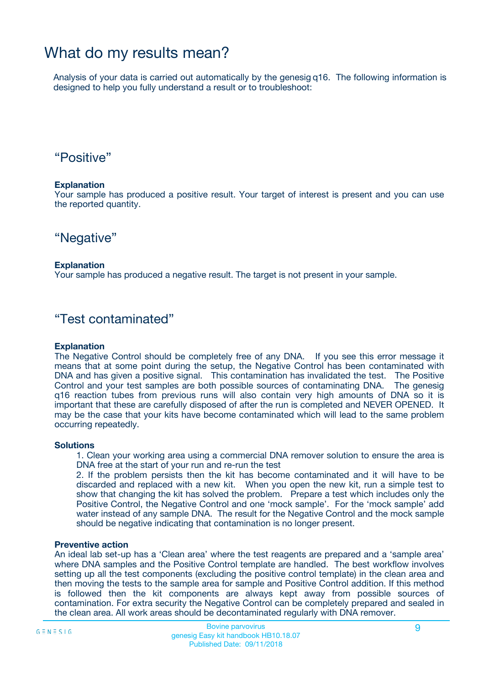## What do my results mean?

Analysis of your data is carried out automatically by the genesig q16. The following information is designed to help you fully understand a result or to troubleshoot:

### "Positive"

#### **Explanation**

Your sample has produced a positive result. Your target of interest is present and you can use the reported quantity.

"Negative"

#### **Explanation**

Your sample has produced a negative result. The target is not present in your sample.

### "Test contaminated"

#### **Explanation**

The Negative Control should be completely free of any DNA. If you see this error message it means that at some point during the setup, the Negative Control has been contaminated with DNA and has given a positive signal. This contamination has invalidated the test. The Positive Control and your test samples are both possible sources of contaminating DNA. The genesig q16 reaction tubes from previous runs will also contain very high amounts of DNA so it is important that these are carefully disposed of after the run is completed and NEVER OPENED. It may be the case that your kits have become contaminated which will lead to the same problem occurring repeatedly.

#### **Solutions**

1. Clean your working area using a commercial DNA remover solution to ensure the area is DNA free at the start of your run and re-run the test

2. If the problem persists then the kit has become contaminated and it will have to be discarded and replaced with a new kit. When you open the new kit, run a simple test to show that changing the kit has solved the problem. Prepare a test which includes only the Positive Control, the Negative Control and one 'mock sample'. For the 'mock sample' add water instead of any sample DNA. The result for the Negative Control and the mock sample should be negative indicating that contamination is no longer present.

#### **Preventive action**

An ideal lab set-up has a 'Clean area' where the test reagents are prepared and a 'sample area' where DNA samples and the Positive Control template are handled. The best workflow involves setting up all the test components (excluding the positive control template) in the clean area and then moving the tests to the sample area for sample and Positive Control addition. If this method is followed then the kit components are always kept away from possible sources of contamination. For extra security the Negative Control can be completely prepared and sealed in the clean area. All work areas should be decontaminated regularly with DNA remover.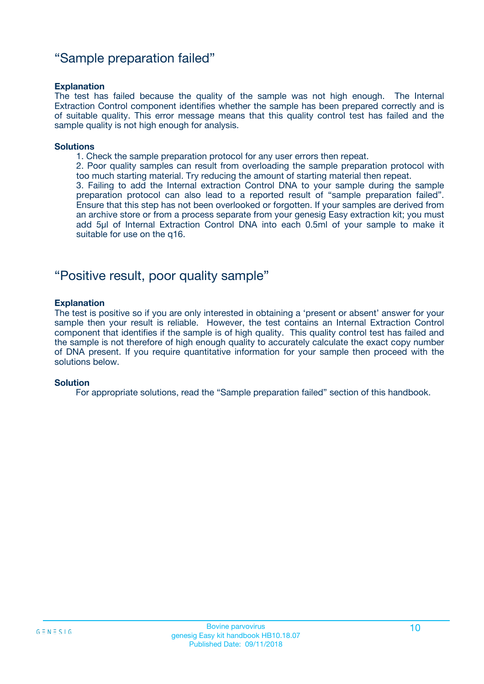### "Sample preparation failed"

#### **Explanation**

The test has failed because the quality of the sample was not high enough. The Internal Extraction Control component identifies whether the sample has been prepared correctly and is of suitable quality. This error message means that this quality control test has failed and the sample quality is not high enough for analysis.

#### **Solutions**

1. Check the sample preparation protocol for any user errors then repeat.

2. Poor quality samples can result from overloading the sample preparation protocol with too much starting material. Try reducing the amount of starting material then repeat.

3. Failing to add the Internal extraction Control DNA to your sample during the sample preparation protocol can also lead to a reported result of "sample preparation failed". Ensure that this step has not been overlooked or forgotten. If your samples are derived from an archive store or from a process separate from your genesig Easy extraction kit; you must add 5µl of Internal Extraction Control DNA into each 0.5ml of your sample to make it suitable for use on the q16.

### "Positive result, poor quality sample"

#### **Explanation**

The test is positive so if you are only interested in obtaining a 'present or absent' answer for your sample then your result is reliable. However, the test contains an Internal Extraction Control component that identifies if the sample is of high quality. This quality control test has failed and the sample is not therefore of high enough quality to accurately calculate the exact copy number of DNA present. If you require quantitative information for your sample then proceed with the solutions below.

#### **Solution**

For appropriate solutions, read the "Sample preparation failed" section of this handbook.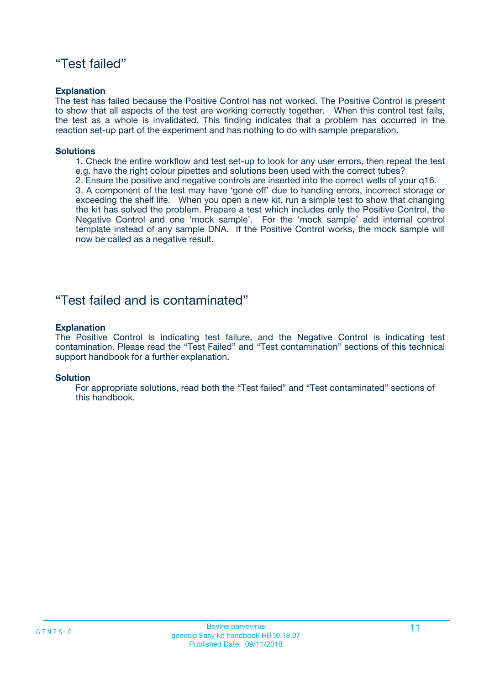### "Test failed"

#### **Explanation**

The test has failed because the Positive Control has not worked. The Positive Control is present to show that all aspects of the test are working correctly together. When this control test fails, the test as a whole is invalidated. This finding indicates that a problem has occurred in the reaction set-up part of the experiment and has nothing to do with sample preparation.

#### **Solutions**

- 1. Check the entire workflow and test set-up to look for any user errors, then repeat the test e.g. have the right colour pipettes and solutions been used with the correct tubes?
- 2. Ensure the positive and negative controls are inserted into the correct wells of your q16.

3. A component of the test may have 'gone off' due to handing errors, incorrect storage or exceeding the shelf life. When you open a new kit, run a simple test to show that changing the kit has solved the problem. Prepare a test which includes only the Positive Control, the Negative Control and one 'mock sample'. For the 'mock sample' add internal control template instead of any sample DNA. If the Positive Control works, the mock sample will now be called as a negative result.

### "Test failed and is contaminated"

#### **Explanation**

The Positive Control is indicating test failure, and the Negative Control is indicating test contamination. Please read the "Test Failed" and "Test contamination" sections of this technical support handbook for a further explanation.

#### **Solution**

For appropriate solutions, read both the "Test failed" and "Test contaminated" sections of this handbook.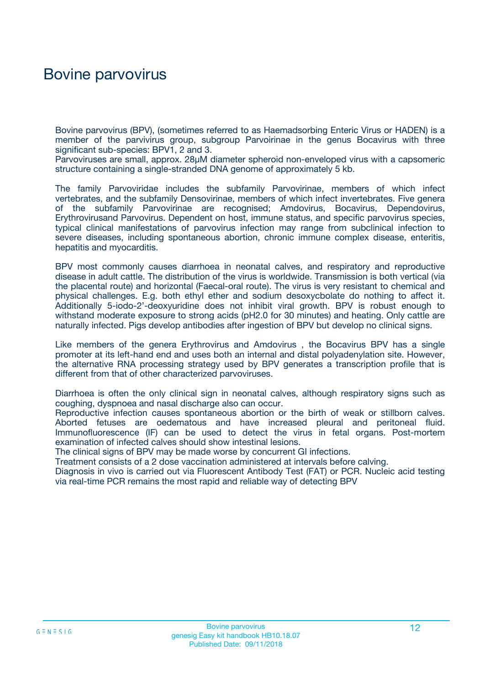## Bovine parvovirus

Bovine parvovirus (BPV), (sometimes referred to as Haemadsorbing Enteric Virus or HADEN) is a member of the parvivirus group, subgroup Parvoirinae in the genus Bocavirus with three significant sub-species: BPV1, 2 and 3.

Parvoviruses are small, approx. 28μM diameter spheroid non-enveloped virus with a capsomeric structure containing a single-stranded DNA genome of approximately 5 kb.

The family Parvoviridae includes the subfamily Parvovirinae, members of which infect vertebrates, and the subfamily Densovirinae, members of which infect invertebrates. Five genera of the subfamily Parvovirinae are recognised; Amdovirus, Bocavirus, Dependovirus, Erythrovirusand Parvovirus. Dependent on host, immune status, and specific parvovirus species, typical clinical manifestations of parvovirus infection may range from subclinical infection to severe diseases, including spontaneous abortion, chronic immune complex disease, enteritis, hepatitis and myocarditis.

BPV most commonly causes diarrhoea in neonatal calves, and respiratory and reproductive disease in adult cattle. The distribution of the virus is worldwide. Transmission is both vertical (via the placental route) and horizontal (Faecal-oral route). The virus is very resistant to chemical and physical challenges. E.g. both ethyl ether and sodium desoxycbolate do nothing to affect it. Additionally 5-iodo-2'-deoxyuridine does not inhibit viral growth. BPV is robust enough to withstand moderate exposure to strong acids (pH2.0 for 30 minutes) and heating. Only cattle are naturally infected. Pigs develop antibodies after ingestion of BPV but develop no clinical signs.

Like members of the genera Erythrovirus and Amdovirus , the Bocavirus BPV has a single promoter at its left-hand end and uses both an internal and distal polyadenylation site. However, the alternative RNA processing strategy used by BPV generates a transcription profile that is different from that of other characterized parvoviruses.

Diarrhoea is often the only clinical sign in neonatal calves, although respiratory signs such as coughing, dyspnoea and nasal discharge also can occur.

Reproductive infection causes spontaneous abortion or the birth of weak or stillborn calves. Aborted fetuses are oedematous and have increased pleural and peritoneal fluid. Immunofluorescence (IF) can be used to detect the virus in fetal organs. Post-mortem examination of infected calves should show intestinal lesions.

The clinical signs of BPV may be made worse by concurrent GI infections.

Treatment consists of a 2 dose vaccination administered at intervals before calving.

Diagnosis in vivo is carried out via Fluorescent Antibody Test (FAT) or PCR. Nucleic acid testing via real-time PCR remains the most rapid and reliable way of detecting BPV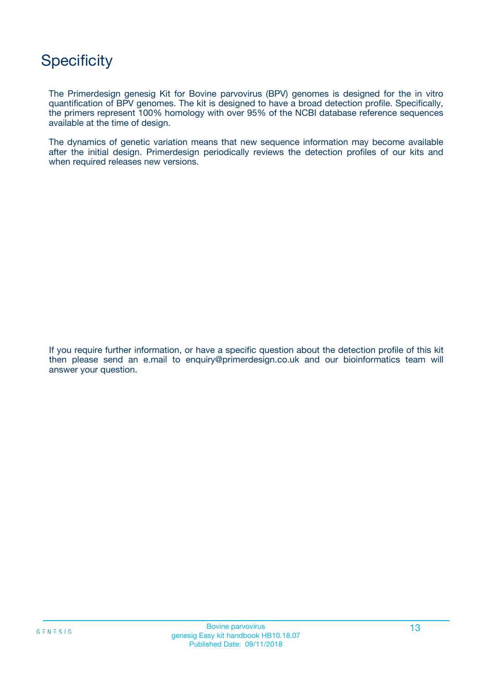## **Specificity**

The Primerdesign genesig Kit for Bovine parvovirus (BPV) genomes is designed for the in vitro quantification of BPV genomes. The kit is designed to have a broad detection profile. Specifically, the primers represent 100% homology with over 95% of the NCBI database reference sequences available at the time of design.

The dynamics of genetic variation means that new sequence information may become available after the initial design. Primerdesign periodically reviews the detection profiles of our kits and when required releases new versions.

If you require further information, or have a specific question about the detection profile of this kit then please send an e.mail to enquiry@primerdesign.co.uk and our bioinformatics team will answer your question.